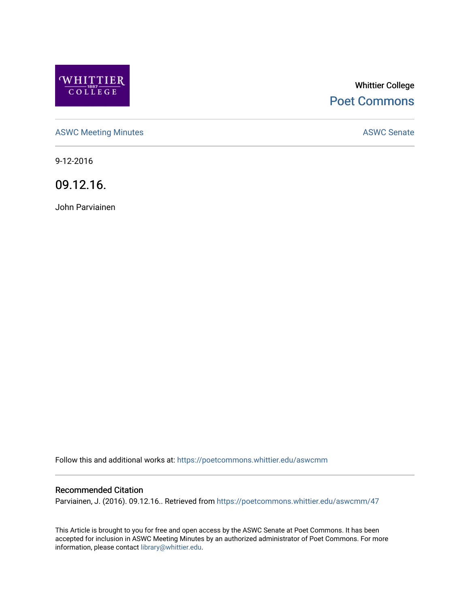

# Whittier College [Poet Commons](https://poetcommons.whittier.edu/)

[ASWC Meeting Minutes](https://poetcommons.whittier.edu/aswcmm) **ASWC Senate** 

9-12-2016

09.12.16.

John Parviainen

Follow this and additional works at: [https://poetcommons.whittier.edu/aswcmm](https://poetcommons.whittier.edu/aswcmm?utm_source=poetcommons.whittier.edu%2Faswcmm%2F47&utm_medium=PDF&utm_campaign=PDFCoverPages)

#### Recommended Citation

Parviainen, J. (2016). 09.12.16.. Retrieved from [https://poetcommons.whittier.edu/aswcmm/47](https://poetcommons.whittier.edu/aswcmm/47?utm_source=poetcommons.whittier.edu%2Faswcmm%2F47&utm_medium=PDF&utm_campaign=PDFCoverPages)

This Article is brought to you for free and open access by the ASWC Senate at Poet Commons. It has been accepted for inclusion in ASWC Meeting Minutes by an authorized administrator of Poet Commons. For more information, please contact [library@whittier.edu.](mailto:library@whittier.edu)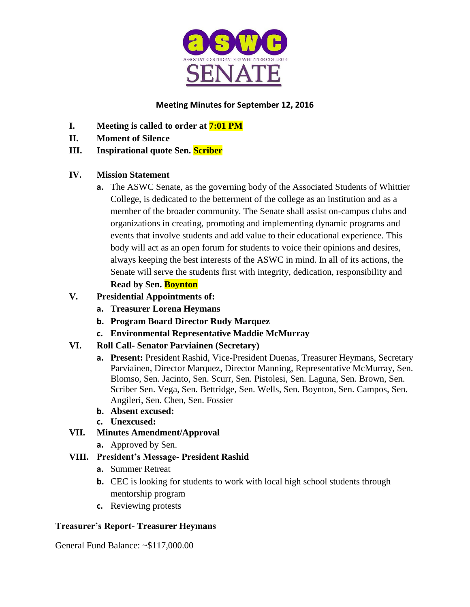

# **Meeting Minutes for September 12, 2016**

- **I. Meeting is called to order at 7:01 PM**
- **II. Moment of Silence**
- **III. Inspirational quote Sen. Scriber**

# **IV. Mission Statement**

**a.** The ASWC Senate, as the governing body of the Associated Students of Whittier College, is dedicated to the betterment of the college as an institution and as a member of the broader community. The Senate shall assist on-campus clubs and organizations in creating, promoting and implementing dynamic programs and events that involve students and add value to their educational experience. This body will act as an open forum for students to voice their opinions and desires, always keeping the best interests of the ASWC in mind. In all of its actions, the Senate will serve the students first with integrity, dedication, responsibility and **Read by Sen. Boynton**

# **V. Presidential Appointments of:**

- **a. Treasurer Lorena Heymans**
- **b. Program Board Director Rudy Marquez**
- **c. Environmental Representative Maddie McMurray**
- **VI. Roll Call- Senator Parviainen (Secretary)**
	- **a. Present:** President Rashid, Vice-President Duenas, Treasurer Heymans, Secretary Parviainen, Director Marquez, Director Manning, Representative McMurray, Sen. Blomso, Sen. Jacinto, Sen. Scurr, Sen. Pistolesi, Sen. Laguna, Sen. Brown, Sen. Scriber Sen. Vega, Sen. Bettridge, Sen. Wells, Sen. Boynton, Sen. Campos, Sen. Angileri, Sen. Chen, Sen. Fossier
	- **b. Absent excused:**
	- **c. Unexcused:**
- **VII. Minutes Amendment/Approval**
	- **a.** Approved by Sen.

## **VIII. President's Message- President Rashid**

- **a.** Summer Retreat
- **b.** CEC is looking for students to work with local high school students through mentorship program
- **c.** Reviewing protests

## **Treasurer's Report- Treasurer Heymans**

General Fund Balance: ~\$117,000.00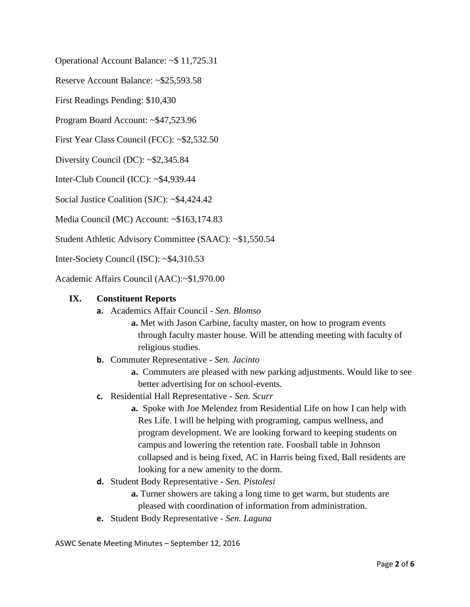Operational Account Balance: ~\$ 11,725.31

Reserve Account Balance: ~\$25,593.58

First Readings Pending: \$10,430

Program Board Account: ~\$47,523.96

First Year Class Council (FCC): ~\$2,532.50

Diversity Council (DC): ~\$2,345.84

Inter-Club Council (ICC): ~\$4,939.44

Social Justice Coalition (SJC): ~\$4,424.42

Media Council (MC) Account: ~\$163,174.83

Student Athletic Advisory Committee (SAAC): ~\$1,550.54

Inter-Society Council (ISC): ~\$4,310.53

Academic Affairs Council (AAC):~\$1,970.00

#### **IX. Constituent Reports**

**a.** Academics Affair Council - *Sen. Blomso*

**a.** Met with Jason Carbine, faculty master, on how to program events through faculty master house. Will be attending meeting with faculty of religious studies.

- **b.** Commuter Representative *Sen. Jacinto*
	- **a.** Commuters are pleased with new parking adjustments. Would like to see better advertising for on school-events.
- **c.** Residential Hall Representative *Sen. Scurr*
	- **a.** Spoke with Joe Melendez from Residential Life on how I can help with Res Life. I will be helping with programing, campus wellness, and program development. We are looking forward to keeping students on campus and lowering the retention rate. Foosball table in Johnson collapsed and is being fixed, AC in Harris being fixed, Ball residents are looking for a new amenity to the dorm.
- **d.** Student Body Representative *Sen. Pistolesi*
	- **a.** Turner showers are taking a long time to get warm, but students are pleased with coordination of information from administration.
- **e.** Student Body Representative *Sen. Laguna*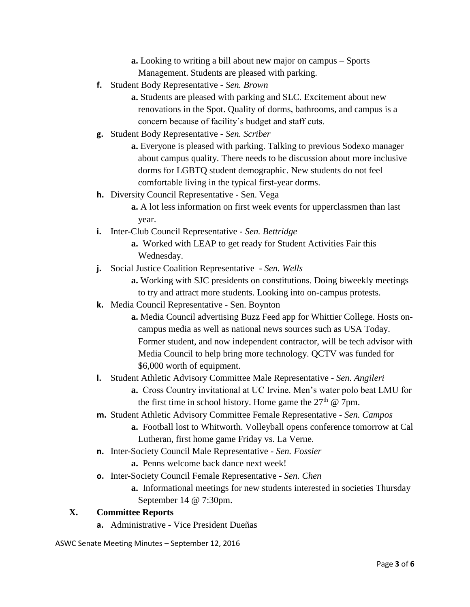**a.** Looking to writing a bill about new major on campus – Sports Management. Students are pleased with parking.

**f.** Student Body Representative - *Sen. Brown*

**a.** Students are pleased with parking and SLC. Excitement about new renovations in the Spot. Quality of dorms, bathrooms, and campus is a concern because of facility's budget and staff cuts.

**g.** Student Body Representative - *Sen. Scriber*

**a.** Everyone is pleased with parking. Talking to previous Sodexo manager about campus quality. There needs to be discussion about more inclusive dorms for LGBTQ student demographic. New students do not feel comfortable living in the typical first-year dorms.

**h.** Diversity Council Representative - Sen. Vega

**a.** A lot less information on first week events for upperclassmen than last year.

**i.** Inter-Club Council Representative - *Sen. Bettridge*

**a.** Worked with LEAP to get ready for Student Activities Fair this Wednesday.

**j.** Social Justice Coalition Representative - *Sen. Wells*

**a.** Working with SJC presidents on constitutions. Doing biweekly meetings to try and attract more students. Looking into on-campus protests.

- **k.** Media Council Representative Sen. Boynton
	- **a.** Media Council advertising Buzz Feed app for Whittier College. Hosts oncampus media as well as national news sources such as USA Today. Former student, and now independent contractor, will be tech advisor with Media Council to help bring more technology. QCTV was funded for \$6,000 worth of equipment.
- **l.** Student Athletic Advisory Committee Male Representative *Sen. Angileri*

**a.** Cross Country invitational at UC Irvine. Men's water polo beat LMU for the first time in school history. Home game the  $27<sup>th</sup>$  @ 7pm.

**m.** Student Athletic Advisory Committee Female Representative - *Sen. Campos*

**a.** Football lost to Whitworth. Volleyball opens conference tomorrow at Cal Lutheran, first home game Friday vs. La Verne.

- **n.** Inter-Society Council Male Representative *Sen. Fossier*
	- **a.** Penns welcome back dance next week!
- **o.** Inter-Society Council Female Representative *Sen. Chen*
	- **a.** Informational meetings for new students interested in societies Thursday September 14 @ 7:30pm.

## **X. Committee Reports**

**a.** Administrative - Vice President Dueñas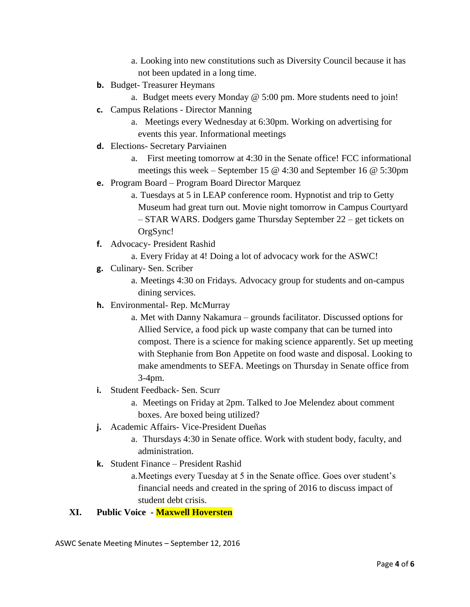- a. Looking into new constitutions such as Diversity Council because it has not been updated in a long time.
- **b.** Budget- Treasurer Heymans
	- a. Budget meets every Monday @ 5:00 pm. More students need to join!
- **c.** Campus Relations Director Manning
	- a. Meetings every Wednesday at 6:30pm. Working on advertising for events this year. Informational meetings
- **d.** Elections- Secretary Parviainen
	- a. First meeting tomorrow at 4:30 in the Senate office! FCC informational meetings this week – September 15 @ 4:30 and September 16 @ 5:30pm
- **e.** Program Board Program Board Director Marquez
	- a. Tuesdays at 5 in LEAP conference room. Hypnotist and trip to Getty Museum had great turn out. Movie night tomorrow in Campus Courtyard – STAR WARS. Dodgers game Thursday September 22 – get tickets on OrgSync!
- **f.** Advocacy- President Rashid
	- a. Every Friday at 4! Doing a lot of advocacy work for the ASWC!
- **g.** Culinary- Sen. Scriber
	- a. Meetings 4:30 on Fridays. Advocacy group for students and on-campus dining services.
- **h.** Environmental- Rep. McMurray
	- a. Met with Danny Nakamura grounds facilitator. Discussed options for Allied Service, a food pick up waste company that can be turned into compost. There is a science for making science apparently. Set up meeting with Stephanie from Bon Appetite on food waste and disposal. Looking to make amendments to SEFA. Meetings on Thursday in Senate office from 3-4pm.
- **i.** Student Feedback- Sen. Scurr
	- a. Meetings on Friday at 2pm. Talked to Joe Melendez about comment boxes. Are boxed being utilized?
- **j.** Academic Affairs- Vice-President Dueñas
	- a. Thursdays 4:30 in Senate office. Work with student body, faculty, and administration.
- **k.** Student Finance President Rashid

a.Meetings every Tuesday at 5 in the Senate office. Goes over student's financial needs and created in the spring of 2016 to discuss impact of student debt crisis.

## **XI. Public Voice - Maxwell Hoversten**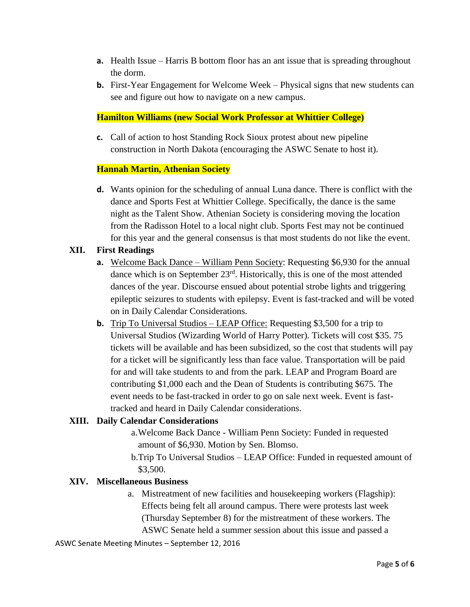- **a.** Health Issue Harris B bottom floor has an ant issue that is spreading throughout the dorm.
- **b.** First-Year Engagement for Welcome Week Physical signs that new students can see and figure out how to navigate on a new campus.

#### **Hamilton Williams (new Social Work Professor at Whittier College)**

**c.** Call of action to host Standing Rock Sioux protest about new pipeline construction in North Dakota (encouraging the ASWC Senate to host it).

#### **Hannah Martin, Athenian Society**

**d.** Wants opinion for the scheduling of annual Luna dance. There is conflict with the dance and Sports Fest at Whittier College. Specifically, the dance is the same night as the Talent Show. Athenian Society is considering moving the location from the Radisson Hotel to a local night club. Sports Fest may not be continued for this year and the general consensus is that most students do not like the event.

#### **XII. First Readings**

- **a.** Welcome Back Dance William Penn Society: Requesting \$6,930 for the annual dance which is on September 23<sup>rd</sup>. Historically, this is one of the most attended dances of the year. Discourse ensued about potential strobe lights and triggering epileptic seizures to students with epilepsy. Event is fast-tracked and will be voted on in Daily Calendar Considerations.
- **b.** Trip To Universal Studios LEAP Office: Requesting \$3,500 for a trip to Universal Studios (Wizarding World of Harry Potter). Tickets will cost \$35. 75 tickets will be available and has been subsidized, so the cost that students will pay for a ticket will be significantly less than face value. Transportation will be paid for and will take students to and from the park. LEAP and Program Board are contributing \$1,000 each and the Dean of Students is contributing \$675. The event needs to be fast-tracked in order to go on sale next week. Event is fasttracked and heard in Daily Calendar considerations.

#### **XIII. Daily Calendar Considerations**

- a.Welcome Back Dance William Penn Society: Funded in requested amount of \$6,930. Motion by Sen. Blomso.
- b.Trip To Universal Studios LEAP Office: Funded in requested amount of \$3,500.

#### **XIV. Miscellaneous Business**

a. Mistreatment of new facilities and housekeeping workers (Flagship): Effects being felt all around campus. There were protests last week (Thursday September 8) for the mistreatment of these workers. The ASWC Senate held a summer session about this issue and passed a